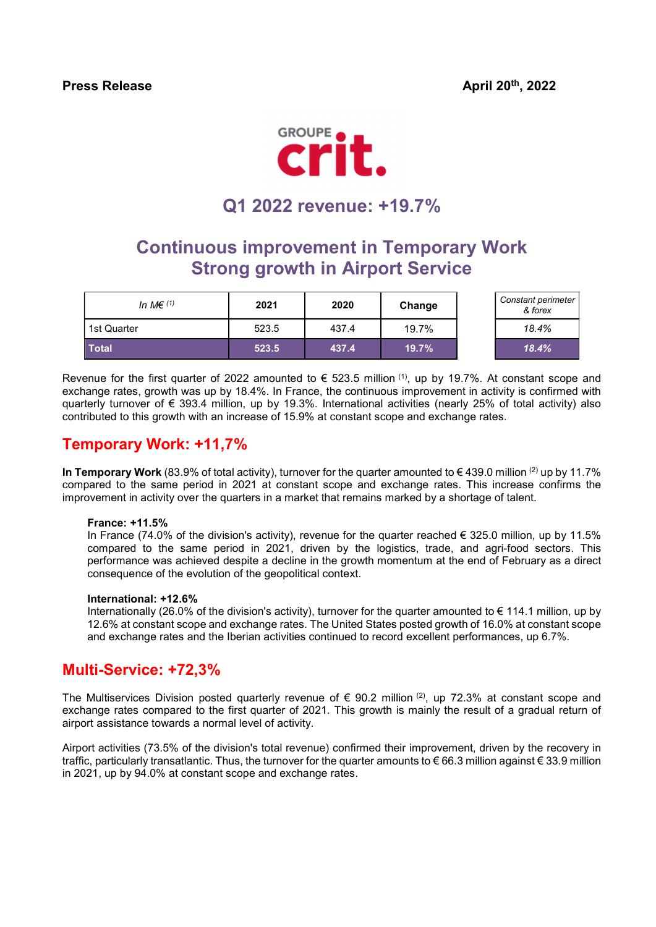Press Release April 20th, 2022



# Q1 2022 revenue: +19.7%

## Continuous improvement in Temporary Work Strong growth in Airport Service

| In M $\in$ (1) | 2021  | 2020  | Change | Constant perimeter<br>& forex |
|----------------|-------|-------|--------|-------------------------------|
| 1st Quarter    | 523.5 | 437.4 | 19.7%  | 18.4%                         |
| <b>Total</b>   | 523.5 | 437.4 | 19.7%  | 18.4%                         |

| Constant perimeter<br>& forex |
|-------------------------------|
| 18.4%                         |
| $18.4\%$                      |

Revenue for the first quarter of 2022 amounted to  $\epsilon$  523.5 million <sup>(1)</sup>, up by 19.7%. At constant scope and exchange rates, growth was up by 18.4%. In France, the continuous improvement in activity is confirmed with quarterly turnover of € 393.4 million, up by 19.3%. International activities (nearly 25% of total activity) also contributed to this growth with an increase of 15.9% at constant scope and exchange rates.

### Temporary Work: +11,7%

In Temporary Work (83.9% of total activity), turnover for the quarter amounted to  $\epsilon$  439.0 million <sup>(2)</sup> up by 11.7% compared to the same period in 2021 at constant scope and exchange rates. This increase confirms the improvement in activity over the quarters in a market that remains marked by a shortage of talent.

#### France: +11.5%

In France (74.0% of the division's activity), revenue for the quarter reached  $\epsilon$  325.0 million, up by 11.5% compared to the same period in 2021, driven by the logistics, trade, and agri-food sectors. This performance was achieved despite a decline in the growth momentum at the end of February as a direct consequence of the evolution of the geopolitical context.

#### International: +12.6%

Internationally (26.0% of the division's activity), turnover for the quarter amounted to € 114.1 million, up by 12.6% at constant scope and exchange rates. The United States posted growth of 16.0% at constant scope and exchange rates and the Iberian activities continued to record excellent performances, up 6.7%.

### Multi-Service: +72,3%

The Multiservices Division posted quarterly revenue of  $\epsilon$  90.2 million <sup>(2)</sup>, up 72.3% at constant scope and exchange rates compared to the first quarter of 2021. This growth is mainly the result of a gradual return of airport assistance towards a normal level of activity.

Airport activities (73.5% of the division's total revenue) confirmed their improvement, driven by the recovery in traffic, particularly transatlantic. Thus, the turnover for the quarter amounts to € 66.3 million against € 33.9 million in 2021, up by 94.0% at constant scope and exchange rates.